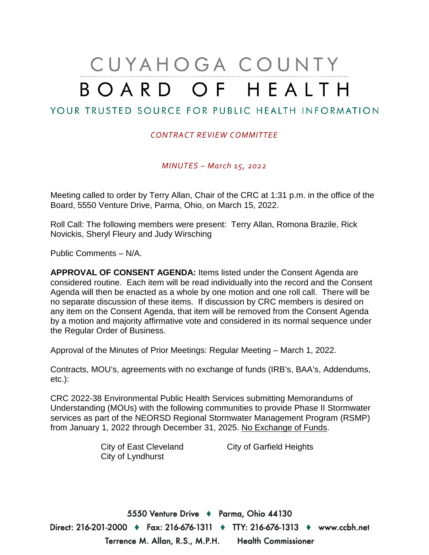# CUYAHOGA COUNTY BOARD OF HEALTH

## YOUR TRUSTED SOURCE FOR PUBLIC HEALTH INFORMATION

## *CONTRACT REVIEW COMMITTEE*

*MINUTES – March 15, 2022*

Meeting called to order by Terry Allan, Chair of the CRC at 1:31 p.m. in the office of the Board, 5550 Venture Drive, Parma, Ohio, on March 15, 2022.

Roll Call: The following members were present: Terry Allan, Romona Brazile, Rick Novickis, Sheryl Fleury and Judy Wirsching

Public Comments – N/A.

**APPROVAL OF CONSENT AGENDA:** Items listed under the Consent Agenda are considered routine. Each item will be read individually into the record and the Consent Agenda will then be enacted as a whole by one motion and one roll call. There will be no separate discussion of these items. If discussion by CRC members is desired on any item on the Consent Agenda, that item will be removed from the Consent Agenda by a motion and majority affirmative vote and considered in its normal sequence under the Regular Order of Business.

Approval of the Minutes of Prior Meetings: Regular Meeting – March 1, 2022.

Contracts, MOU's, agreements with no exchange of funds (IRB's, BAA's, Addendums, etc.):

CRC 2022-38 Environmental Public Health Services submitting Memorandums of Understanding (MOUs) with the following communities to provide Phase II Stormwater services as part of the NEORSD Regional Stormwater Management Program (RSMP) from January 1, 2022 through December 31, 2025. No Exchange of Funds.

City of Lyndhurst

City of East Cleveland City of Garfield Heights

5550 Venture Drive + Parma, Ohio 44130 Direct: 216-201-2000 ♦ Fax: 216-676-1311 ♦ TTY: 216-676-1313 ♦ www.ccbh.net Terrence M. Allan, R.S., M.P.H. Health Commissioner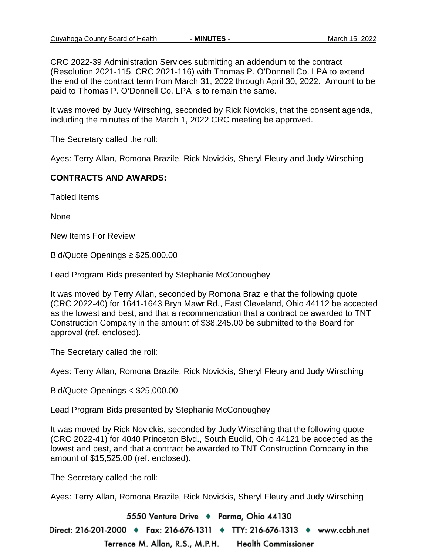CRC 2022-39 Administration Services submitting an addendum to the contract (Resolution 2021-115, CRC 2021-116) with Thomas P. O'Donnell Co. LPA to extend the end of the contract term from March 31, 2022 through April 30, 2022. Amount to be paid to Thomas P. O'Donnell Co. LPA is to remain the same.

It was moved by Judy Wirsching, seconded by Rick Novickis, that the consent agenda, including the minutes of the March 1, 2022 CRC meeting be approved.

The Secretary called the roll:

Ayes: Terry Allan, Romona Brazile, Rick Novickis, Sheryl Fleury and Judy Wirsching

#### **CONTRACTS AND AWARDS:**

Tabled Items

None

New Items For Review

Bid/Quote Openings ≥ \$25,000.00

Lead Program Bids presented by Stephanie McConoughey

It was moved by Terry Allan, seconded by Romona Brazile that the following quote (CRC 2022-40) for 1641-1643 Bryn Mawr Rd., East Cleveland, Ohio 44112 be accepted as the lowest and best, and that a recommendation that a contract be awarded to TNT Construction Company in the amount of \$38,245.00 be submitted to the Board for approval (ref. enclosed).

The Secretary called the roll:

Ayes: Terry Allan, Romona Brazile, Rick Novickis, Sheryl Fleury and Judy Wirsching

Bid/Quote Openings < \$25,000.00

Lead Program Bids presented by Stephanie McConoughey

It was moved by Rick Novickis, seconded by Judy Wirsching that the following quote (CRC 2022-41) for 4040 Princeton Blvd., South Euclid, Ohio 44121 be accepted as the lowest and best, and that a contract be awarded to TNT Construction Company in the amount of \$15,525.00 (ref. enclosed).

The Secretary called the roll:

Ayes: Terry Allan, Romona Brazile, Rick Novickis, Sheryl Fleury and Judy Wirsching

5550 Venture Drive + Parma, Ohio 44130 Direct: 216-201-2000 ♦ Fax: 216-676-1311 ♦ TTY: 216-676-1313 ♦ www.ccbh.net Terrence M. Allan, R.S., M.P.H. **Health Commissioner**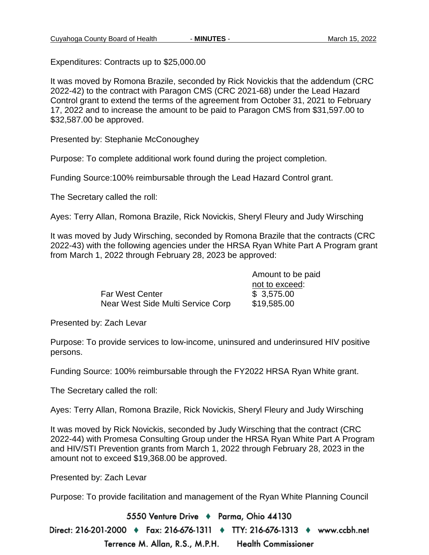Expenditures: Contracts up to \$25,000.00

It was moved by Romona Brazile, seconded by Rick Novickis that the addendum (CRC 2022-42) to the contract with Paragon CMS (CRC 2021-68) under the Lead Hazard Control grant to extend the terms of the agreement from October 31, 2021 to February 17, 2022 and to increase the amount to be paid to Paragon CMS from \$31,597.00 to \$32,587.00 be approved.

Presented by: Stephanie McConoughey

Purpose: To complete additional work found during the project completion.

Funding Source:100% reimbursable through the Lead Hazard Control grant.

The Secretary called the roll:

Ayes: Terry Allan, Romona Brazile, Rick Novickis, Sheryl Fleury and Judy Wirsching

It was moved by Judy Wirsching, seconded by Romona Brazile that the contracts (CRC 2022-43) with the following agencies under the HRSA Ryan White Part A Program grant from March 1, 2022 through February 28, 2023 be approved:

|                                   | Amount to be paid |
|-----------------------------------|-------------------|
|                                   | not to exceed:    |
| <b>Far West Center</b>            | \$3,575.00        |
| Near West Side Multi Service Corp | \$19,585.00       |

Presented by: Zach Levar

Purpose: To provide services to low-income, uninsured and underinsured HIV positive persons.

Funding Source: 100% reimbursable through the FY2022 HRSA Ryan White grant.

The Secretary called the roll:

Ayes: Terry Allan, Romona Brazile, Rick Novickis, Sheryl Fleury and Judy Wirsching

It was moved by Rick Novickis, seconded by Judy Wirsching that the contract (CRC 2022-44) with Promesa Consulting Group under the HRSA Ryan White Part A Program and HIV/STI Prevention grants from March 1, 2022 through February 28, 2023 in the amount not to exceed \$19,368.00 be approved.

Presented by: Zach Levar

Purpose: To provide facilitation and management of the Ryan White Planning Council

5550 Venture Drive + Parma, Ohio 44130 Direct: 216-201-2000 ♦ Fax: 216-676-1311 ♦ TTY: 216-676-1313 ♦ www.ccbh.net Terrence M. Allan, R.S., M.P.H. **Health Commissioner**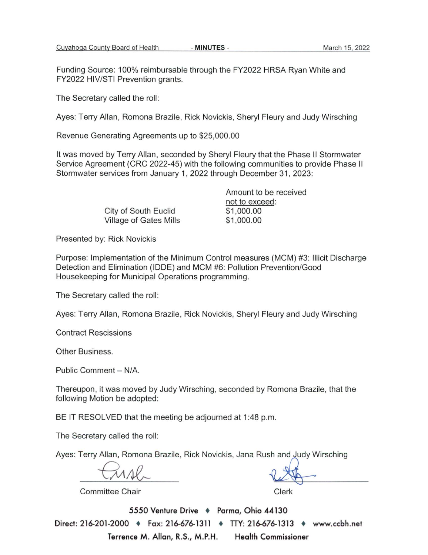Funding Source: 100% reimbursable through the FY2022 HRSA Ryan White and FY2022 HIV/STI Prevention grants.

The Secretary called the roll:

Ayes: Terry Allan, Romona Brazile, Rick Novickis, Sheryl Fleury and Judy Wirsching

Revenue Generating Agreements up to \$25,000.00

It was moved by Terry Allan, seconded by Sheryl Fleury that the Phase II Stormwater Service Agreement (CRC 2022-45) with the following communities to provide Phase II Stormwater services from January 1, 2022 through December 31, 2023:

|                        | Amount to be received |
|------------------------|-----------------------|
|                        | not to exceed:        |
| City of South Euclid   | \$1,000.00            |
| Village of Gates Mills | \$1,000.00            |

Presented by: Rick Novickis

Purpose: Implementation of the Minimum Control measures (MCM) #3: Illicit Discharge Detection and Elimination (IDDE) and MCM #6: Pollution Prevention/Good Housekeeping for Municipal Operations programming.

The Secretary called the roll:

Ayes: Terry Allan, Romona Brazile, Rick Novickis, Sheryl Fleury and Judy Wirsching

**Contract Rescissions** 

Other Business.

Public Comment - N/A.

Thereupon, it was moved by Judy Wirsching, seconded by Romona Brazile, that the following Motion be adopted:

BE IT RESOLVED that the meeting be adjourned at 1:48 p.m.

The Secretary called the roll:

Ayes: Terry Allan, Romona Brazile, Rick Novickis, Jana Rush and Judy Wirsching

**Committee Chair** 

Clerk

5550 Venture Drive + Parma, Ohio 44130 Direct: 216-201-2000 ♦ Fax: 216-676-1311 ♦ TTY: 216-676-1313 ♦ www.ccbh.net Terrence M. Allan, R.S., M.P.H. **Health Commissioner**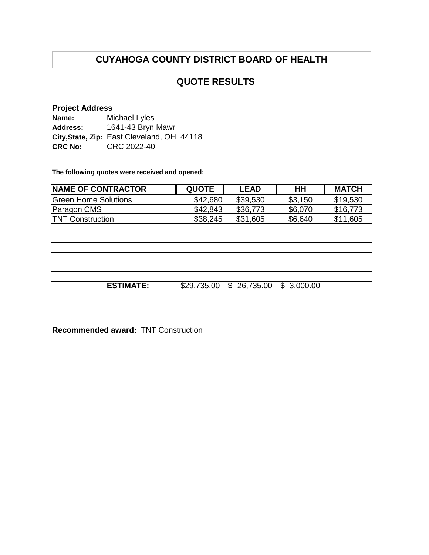# **CUYAHOGA COUNTY DISTRICT BOARD OF HEALTH**

## **QUOTE RESULTS**

## **Project Address**

| Name:           | Michael Lyles                              |
|-----------------|--------------------------------------------|
| <b>Address:</b> | 1641-43 Bryn Mawr                          |
|                 | City, State, Zip: East Cleveland, OH 44118 |
| <b>CRC No:</b>  | CRC 2022-40                                |

**The following quotes were received and opened:**

| <b>NAME OF CONTRACTOR</b> | <b>QUOTE</b> | <b>LEAD</b> | HΗ      | <b>MATCH</b> |
|---------------------------|--------------|-------------|---------|--------------|
| Green Home Solutions      | \$42,680     | \$39,530    | \$3,150 | \$19,530     |
| Paragon CMS               | \$42,843     | \$36,773    | \$6,070 | \$16,773     |
| <b>TNT Construction</b>   | \$38,245     | \$31.605    | \$6,640 | \$11,605     |

**ESTIMATE:** \$29,735.00 \$ 26,735.00 \$ 3,000.00

**Recommended award:** TNT Construction